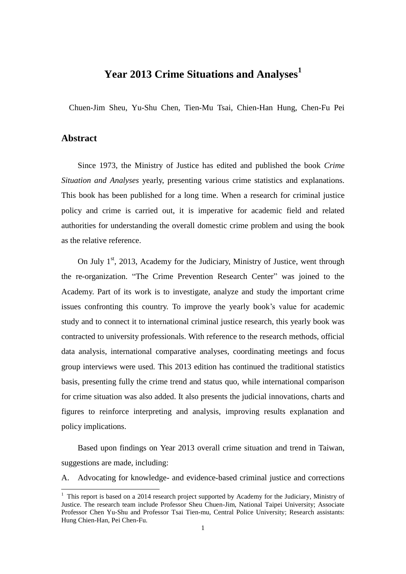### **Year 2013 Crime Situations and Analyses<sup>1</sup>**

Chuen-Jim Sheu, Yu-Shu Chen, Tien-Mu Tsai, Chien-Han Hung, Chen-Fu Pei

### **Abstract**

1

Since 1973, the Ministry of Justice has edited and published the book *Crime Situation and Analyses* yearly, presenting various crime statistics and explanations. This book has been published for a long time. When a research for criminal justice policy and crime is carried out, it is imperative for academic field and related authorities for understanding the overall domestic crime problem and using the book as the relative reference.

On July 1<sup>st</sup>, 2013, Academy for the Judiciary, Ministry of Justice, went through the re-organization. "The Crime Prevention Research Center" was joined to the Academy. Part of its work is to investigate, analyze and study the important crime issues confronting this country. To improve the yearly book's value for academic study and to connect it to international criminal justice research, this yearly book was contracted to university professionals. With reference to the research methods, official data analysis, international comparative analyses, coordinating meetings and focus group interviews were used. This 2013 edition has continued the traditional statistics basis, presenting fully the crime trend and status quo, while international comparison for crime situation was also added. It also presents the judicial innovations, charts and figures to reinforce interpreting and analysis, improving results explanation and policy implications.

Based upon findings on Year 2013 overall crime situation and trend in Taiwan, suggestions are made, including:

A. Advocating for knowledge- and evidence-based criminal justice and corrections

 $<sup>1</sup>$  This report is based on a 2014 research project supported by Academy for the Judiciary, Ministry of</sup> Justice. The research team include Professor Sheu Chuen-Jim, National Taipei University; Associate Professor Chen Yu-Shu and Professor Tsai Tien-mu, Central Police University; Research assistants: Hung Chien-Han, Pei Chen-Fu.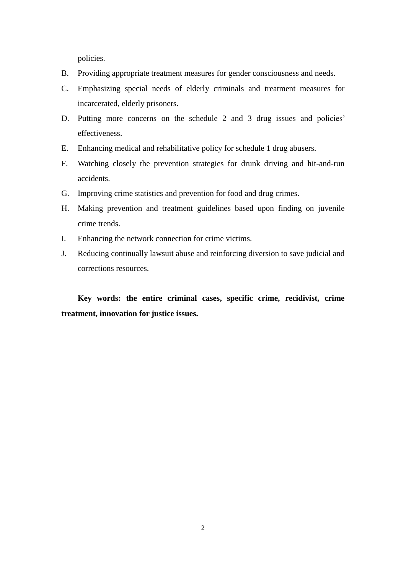policies.

- B. Providing appropriate treatment measures for gender consciousness and needs.
- C. Emphasizing special needs of elderly criminals and treatment measures for incarcerated, elderly prisoners.
- D. Putting more concerns on the schedule 2 and 3 drug issues and policies' effectiveness.
- E. Enhancing medical and rehabilitative policy for schedule 1 drug abusers.
- F. Watching closely the prevention strategies for drunk driving and hit-and-run accidents.
- G. Improving crime statistics and prevention for food and drug crimes.
- H. Making prevention and treatment guidelines based upon finding on juvenile crime trends.
- I. Enhancing the network connection for crime victims.
- J. Reducing continually lawsuit abuse and reinforcing diversion to save judicial and corrections resources.

**Key words: the entire criminal cases, specific crime, recidivist, crime treatment, innovation for justice issues.**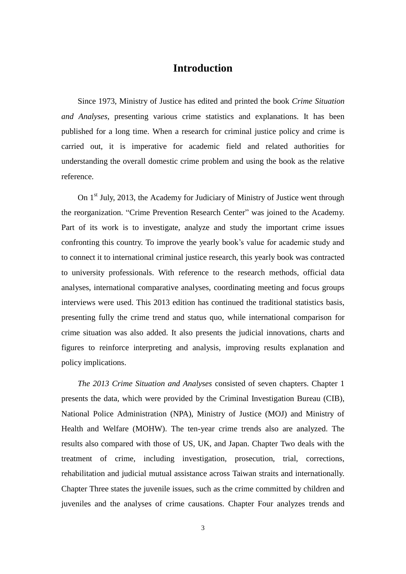### **Introduction**

Since 1973, Ministry of Justice has edited and printed the book *Crime Situation and Analyses*, presenting various crime statistics and explanations. It has been published for a long time. When a research for criminal justice policy and crime is carried out, it is imperative for academic field and related authorities for understanding the overall domestic crime problem and using the book as the relative reference.

On 1<sup>st</sup> July, 2013, the Academy for Judiciary of Ministry of Justice went through the reorganization. "Crime Prevention Research Center" was joined to the Academy. Part of its work is to investigate, analyze and study the important crime issues confronting this country. To improve the yearly book's value for academic study and to connect it to international criminal justice research, this yearly book was contracted to university professionals. With reference to the research methods, official data analyses, international comparative analyses, coordinating meeting and focus groups interviews were used. This 2013 edition has continued the traditional statistics basis, presenting fully the crime trend and status quo, while international comparison for crime situation was also added. It also presents the judicial innovations, charts and figures to reinforce interpreting and analysis, improving results explanation and policy implications.

*The 2013 Crime Situation and Analyses* consisted of seven chapters. Chapter 1 presents the data, which were provided by the Criminal Investigation Bureau (CIB), National Police Administration (NPA), Ministry of Justice (MOJ) and Ministry of Health and Welfare (MOHW). The ten-year crime trends also are analyzed. The results also compared with those of US, UK, and Japan. Chapter Two deals with the treatment of crime, including investigation, prosecution, trial, corrections, rehabilitation and judicial mutual assistance across Taiwan straits and internationally. Chapter Three states the juvenile issues, such as the crime committed by children and juveniles and the analyses of crime causations. Chapter Four analyzes trends and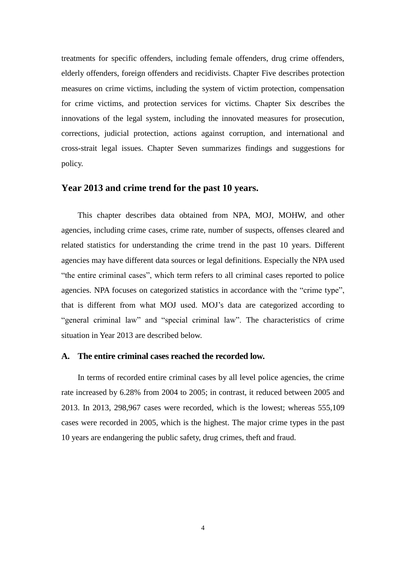treatments for specific offenders, including female offenders, drug crime offenders, elderly offenders, foreign offenders and recidivists. Chapter Five describes protection measures on crime victims, including the system of victim protection, compensation for crime victims, and protection services for victims. Chapter Six describes the innovations of the legal system, including the innovated measures for prosecution, corrections, judicial protection, actions against corruption, and international and cross-strait legal issues. Chapter Seven summarizes findings and suggestions for policy.

#### **Year 2013 and crime trend for the past 10 years.**

This chapter describes data obtained from NPA, MOJ, MOHW, and other agencies, including crime cases, crime rate, number of suspects, offenses cleared and related statistics for understanding the crime trend in the past 10 years. Different agencies may have different data sources or legal definitions. Especially the NPA used "the entire criminal cases", which term refers to all criminal cases reported to police agencies. NPA focuses on categorized statistics in accordance with the "crime type", that is different from what MOJ used. MOJ's data are categorized according to "general criminal law" and "special criminal law". The characteristics of crime situation in Year 2013 are described below.

#### **A. The entire criminal cases reached the recorded low.**

In terms of recorded entire criminal cases by all level police agencies, the crime rate increased by 6.28% from 2004 to 2005; in contrast, it reduced between 2005 and 2013. In 2013, 298,967 cases were recorded, which is the lowest; whereas 555,109 cases were recorded in 2005, which is the highest. The major crime types in the past 10 years are endangering the public safety, drug crimes, theft and fraud.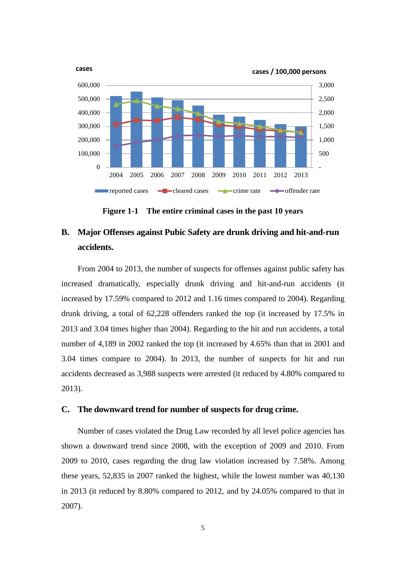

**Figure 1-1 The entire criminal cases in the past 10 years**

# **B. Major Offenses against Pubic Safety are drunk driving and hit-and-run accidents.**

From 2004 to 2013, the number of suspects for offenses against public safety has increased dramatically, especially drunk driving and hit-and-run accidents (it increased by 17.59% compared to 2012 and 1.16 times compared to 2004). Regarding drunk driving, a total of 62,228 offenders ranked the top (it increased by 17.5% in 2013 and 3.04 times higher than 2004). Regarding to the hit and run accidents, a total number of 4,189 in 2002 ranked the top (it increased by 4.65% than that in 2001 and 3.04 times compare to 2004). In 2013, the number of suspects for hit and run accidents decreased as 3,988 suspects were arrested (it reduced by 4.80% compared to 2013).

#### **C. The downward trend for number of suspects for drug crime.**

Number of cases violated the Drug Law recorded by all level police agencies has shown a downward trend since 2008, with the exception of 2009 and 2010. From 2009 to 2010, cases regarding the drug law violation increased by 7.58%. Among these years, 52,835 in 2007 ranked the highest, while the lowest number was 40,130 in 2013 (it reduced by 8.80% compared to 2012, and by 24.05% compared to that in 2007).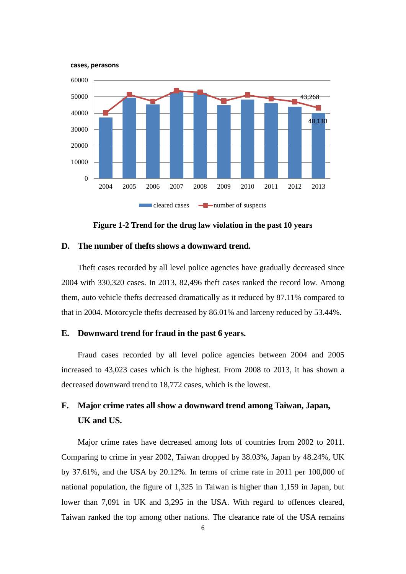

**Figure 1-2 Trend for the drug law violation in the past 10 years**

#### **D. The number of thefts shows a downward trend.**

Theft cases recorded by all level police agencies have gradually decreased since 2004 with 330,320 cases. In 2013, 82,496 theft cases ranked the record low. Among them, auto vehicle thefts decreased dramatically as it reduced by 87.11% compared to that in 2004. Motorcycle thefts decreased by 86.01% and larceny reduced by 53.44%.

#### **E. Downward trend for fraud in the past 6 years.**

Fraud cases recorded by all level police agencies between 2004 and 2005 increased to 43,023 cases which is the highest. From 2008 to 2013, it has shown a decreased downward trend to 18,772 cases, which is the lowest.

### **F. Major crime rates all show a downward trend among Taiwan, Japan, UK and US.**

Major crime rates have decreased among lots of countries from 2002 to 2011. Comparing to crime in year 2002, Taiwan dropped by 38.03%, Japan by 48.24%, UK by 37.61%, and the USA by 20.12%. In terms of crime rate in 2011 per 100,000 of national population, the figure of 1,325 in Taiwan is higher than 1,159 in Japan, but lower than 7,091 in UK and 3,295 in the USA. With regard to offences cleared, Taiwan ranked the top among other nations. The clearance rate of the USA remains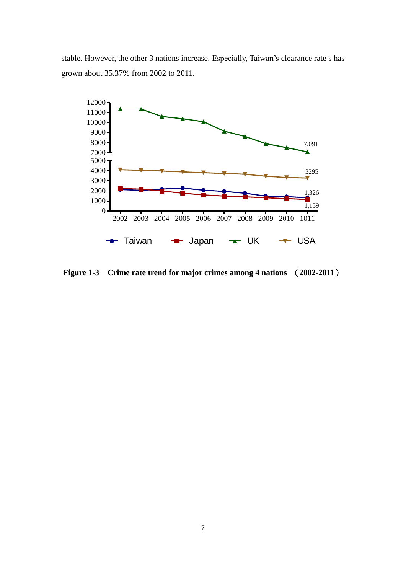stable. However, the other 3 nations increase. Especially, Taiwan's clearance rate s has grown about 35.37% from 2002 to 2011.



**Figure 1-3 Crime rate trend for major crimes among 4 nations** (**2002-2011**)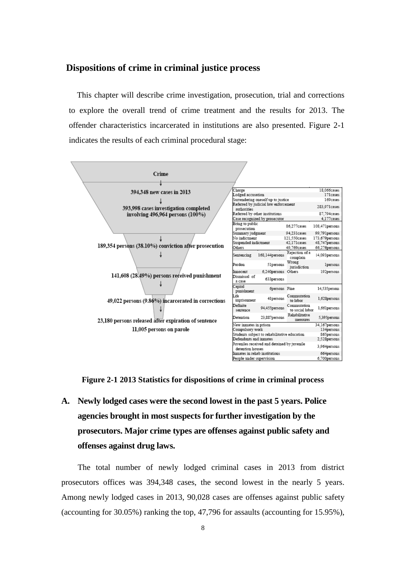### **Dispositions of crime in criminal justice process**

This chapter will describe crime investigation, prosecution, trial and corrections to explore the overall trend of crime treatment and the results for 2013. The offender characteristics incarcerated in institutions are also presented. Figure 2-1 indicates the results of each criminal procedural stage:



**Figure 2-1 2013 Statistics for dispositions of crime in criminal process**

**A. Newly lodged cases were the second lowest in the past 5 years. Police agencies brought in most suspects for further investigation by the prosecutors. Major crime types are offenses against public safety and offenses against drug laws.**

The total number of newly lodged criminal cases in 2013 from district prosecutors offices was 394,348 cases, the second lowest in the nearly 5 years. Among newly lodged cases in 2013, 90,028 cases are offenses against public safety (accounting for 30.05%) ranking the top, 47,796 for assaults (accounting for 15.95%),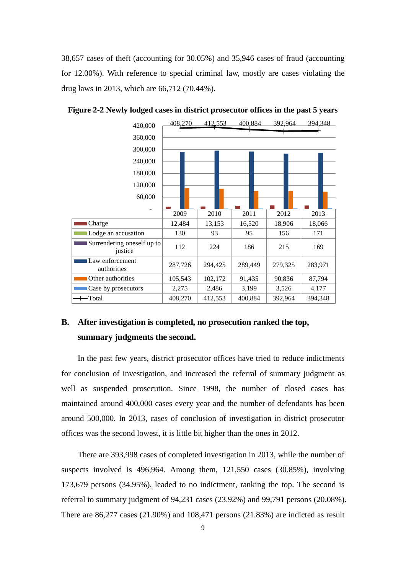38,657 cases of theft (accounting for 30.05%) and 35,946 cases of fraud (accounting for 12.00%). With reference to special criminal law, mostly are cases violating the drug laws in 2013, which are 66,712 (70.44%).



**Figure 2-2 Newly lodged cases in district prosecutor offices in the past 5 years**

### **B. After investigation is completed, no prosecution ranked the top, summary judgments the second.**

In the past few years, district prosecutor offices have tried to reduce indictments for conclusion of investigation, and increased the referral of summary judgment as well as suspended prosecution. Since 1998, the number of closed cases has maintained around 400,000 cases every year and the number of defendants has been around 500,000. In 2013, cases of conclusion of investigation in district prosecutor offices was the second lowest, it is little bit higher than the ones in 2012.

There are 393,998 cases of completed investigation in 2013, while the number of suspects involved is 496,964. Among them, 121,550 cases (30.85%), involving 173,679 persons (34.95%), leaded to no indictment, ranking the top. The second is referral to summary judgment of 94,231 cases (23.92%) and 99,791 persons (20.08%). There are 86,277 cases (21.90%) and 108,471 persons (21.83%) are indicted as result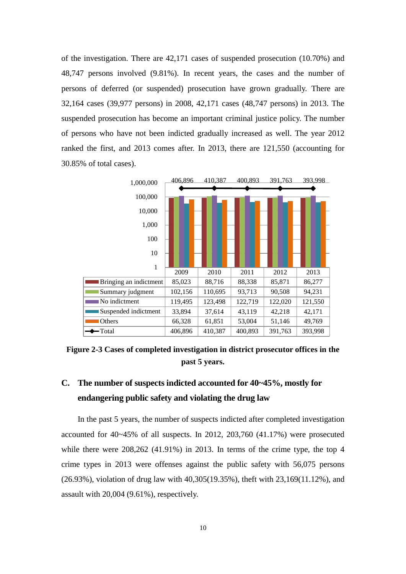of the investigation. There are 42,171 cases of suspended prosecution (10.70%) and 48,747 persons involved (9.81%). In recent years, the cases and the number of persons of deferred (or suspended) prosecution have grown gradually. There are 32,164 cases (39,977 persons) in 2008, 42,171 cases (48,747 persons) in 2013. The suspended prosecution has become an important criminal justice policy. The number of persons who have not been indicted gradually increased as well. The year 2012 ranked the first, and 2013 comes after. In 2013, there are 121,550 (accounting for 30.85% of total cases).



**Figure 2-3 Cases of completed investigation in district prosecutor offices in the past 5 years.** 

### **C. The number of suspects indicted accounted for 40~45%, mostly for endangering public safety and violating the drug law**

In the past 5 years, the number of suspects indicted after completed investigation accounted for 40~45% of all suspects. In 2012, 203,760 (41.17%) were prosecuted while there were  $208,262$  (41.91%) in 2013. In terms of the crime type, the top 4 crime types in 2013 were offenses against the public safety with 56,075 persons (26.93%), violation of drug law with 40,305(19.35%), theft with 23,169(11.12%), and assault with 20,004 (9.61%), respectively.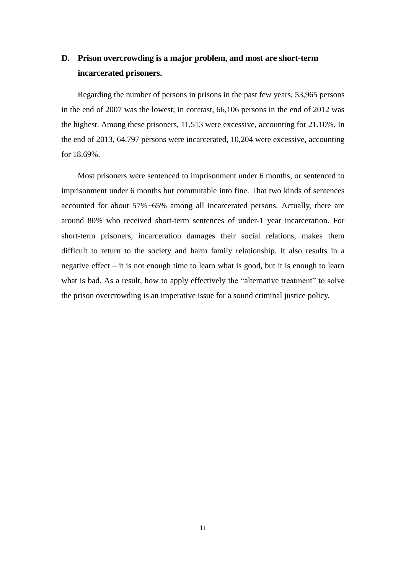# **D. Prison overcrowding is a major problem, and most are short-term incarcerated prisoners.**

Regarding the number of persons in prisons in the past few years, 53,965 persons in the end of 2007 was the lowest; in contrast, 66,106 persons in the end of 2012 was the highest. Among these prisoners, 11,513 were excessive, accounting for 21.10%. In the end of 2013, 64,797 persons were incarcerated, 10,204 were excessive, accounting for 18.69%.

Most prisoners were sentenced to imprisonment under 6 months, or sentenced to imprisonment under 6 months but commutable into fine. That two kinds of sentences accounted for about 57%~65% among all incarcerated persons. Actually, there are around 80% who received short-term sentences of under-1 year incarceration. For short-term prisoners, incarceration damages their social relations, makes them difficult to return to the society and harm family relationship. It also results in a negative effect – it is not enough time to learn what is good, but it is enough to learn what is bad. As a result, how to apply effectively the "alternative treatment" to solve the prison overcrowding is an imperative issue for a sound criminal justice policy.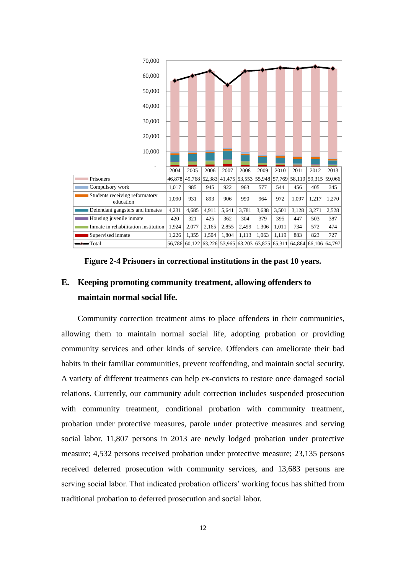

**Figure 2-4 Prisoners in correctional institutions in the past 10 years.**

### **E. Keeping promoting community treatment, allowing offenders to maintain normal social life.**

Community correction treatment aims to place offenders in their communities, allowing them to maintain normal social life, adopting probation or providing community services and other kinds of service. Offenders can ameliorate their bad habits in their familiar communities, prevent reoffending, and maintain social security. A variety of different treatments can help ex-convicts to restore once damaged social relations. Currently, our community adult correction includes suspended prosecution with community treatment, conditional probation with community treatment, probation under protective measures, parole under protective measures and serving social labor. 11,807 persons in 2013 are newly lodged probation under protective measure; 4,532 persons received probation under protective measure; 23,135 persons received deferred prosecution with community services, and 13,683 persons are serving social labor. That indicated probation officers' working focus has shifted from traditional probation to deferred prosecution and social labor.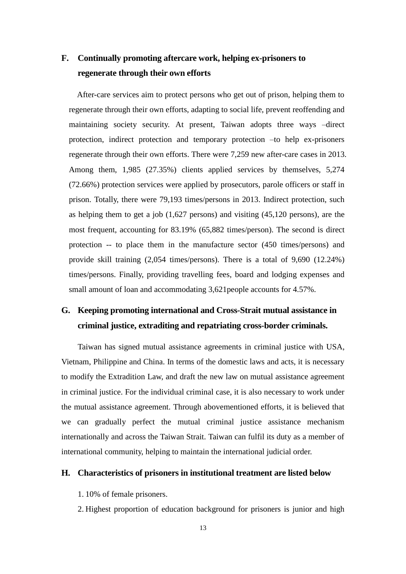## **F. Continually promoting aftercare work, helping ex-prisoners to regenerate through their own efforts**

After-care services aim to protect persons who get out of prison, helping them to regenerate through their own efforts, adapting to social life, prevent reoffending and maintaining society security. At present, Taiwan adopts three ways –direct protection, indirect protection and temporary protection –to help ex-prisoners regenerate through their own efforts. There were 7,259 new after-care cases in 2013. Among them, 1,985 (27.35%) clients applied services by themselves, 5,274 (72.66%) protection services were applied by prosecutors, parole officers or staff in prison. Totally, there were 79,193 times/persons in 2013. Indirect protection, such as helping them to get a job (1,627 persons) and visiting (45,120 persons), are the most frequent, accounting for 83.19% (65,882 times/person). The second is direct protection -- to place them in the manufacture sector (450 times/persons) and provide skill training (2,054 times/persons). There is a total of 9,690 (12.24%) times/persons. Finally, providing travelling fees, board and lodging expenses and small amount of loan and accommodating 3,621people accounts for 4.57%.

# **G. Keeping promoting international and Cross-Strait mutual assistance in criminal justice, extraditing and repatriating cross-border criminals.**

Taiwan has signed mutual assistance agreements in criminal justice with USA, Vietnam, Philippine and China. In terms of the domestic laws and acts, it is necessary to modify the Extradition Law, and draft the new law on mutual assistance agreement in criminal justice. For the individual criminal case, it is also necessary to work under the mutual assistance agreement. Through abovementioned efforts, it is believed that we can gradually perfect the mutual criminal justice assistance mechanism internationally and across the Taiwan Strait. Taiwan can fulfil its duty as a member of international community, helping to maintain the international judicial order.

#### **H. Characteristics of prisoners in institutional treatment are listed below**

- 1. 10% of female prisoners.
- 2. Highest proportion of education background for prisoners is junior and high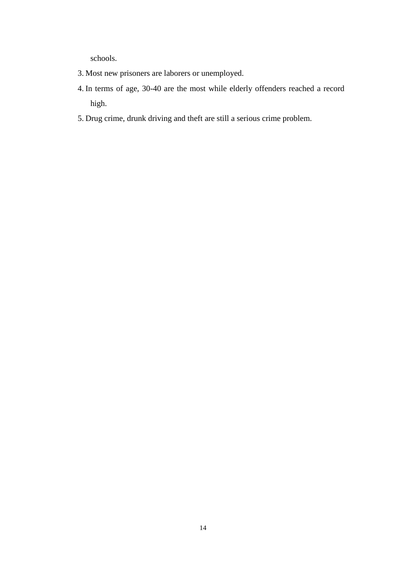schools.

- 3. Most new prisoners are laborers or unemployed.
- 4. In terms of age, 30-40 are the most while elderly offenders reached a record high.
- 5. Drug crime, drunk driving and theft are still a serious crime problem.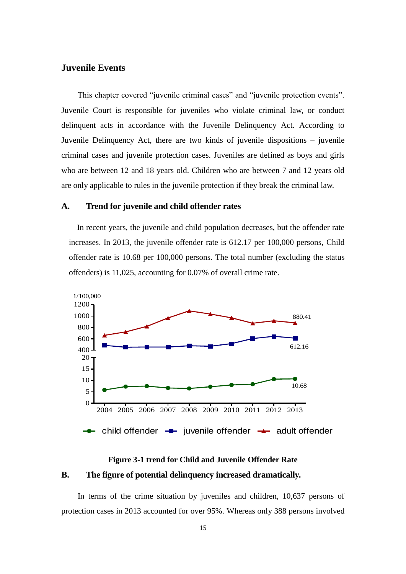### **Juvenile Events**

This chapter covered "juvenile criminal cases" and "juvenile protection events". Juvenile Court is responsible for juveniles who violate criminal law, or conduct delinquent acts in accordance with the Juvenile Delinquency Act. According to Juvenile Delinquency Act, there are two kinds of juvenile dispositions – juvenile criminal cases and juvenile protection cases. Juveniles are defined as boys and girls who are between 12 and 18 years old. Children who are between 7 and 12 years old are only applicable to rules in the juvenile protection if they break the criminal law.

#### **A. Trend for juvenile and child offender rates**

In recent years, the juvenile and child population decreases, but the offender rate increases. In 2013, the juvenile offender rate is 612.17 per 100,000 persons, Child offender rate is 10.68 per 100,000 persons. The total number (excluding the status offenders) is 11,025, accounting for 0.07% of overall crime rate.



# **Figure 3-1 trend for Child and Juvenile Offender Rate B. The figure of potential delinquency increased dramatically.**

In terms of the crime situation by juveniles and children, 10,637 persons of protection cases in 2013 accounted for over 95%. Whereas only 388 persons involved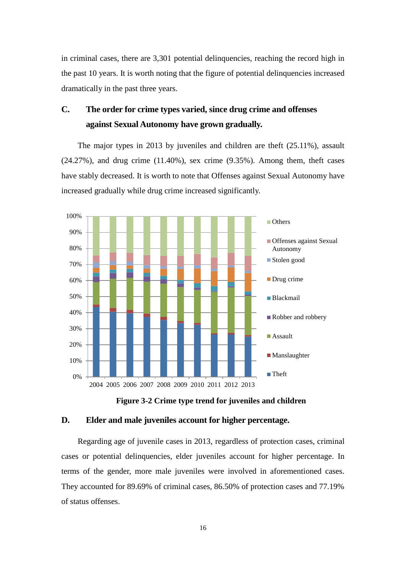in criminal cases, there are 3,301 potential delinquencies, reaching the record high in the past 10 years. It is worth noting that the figure of potential delinquencies increased dramatically in the past three years.

# **C. The order for crime types varied, since drug crime and offenses against Sexual Autonomy have grown gradually.**

The major types in 2013 by juveniles and children are theft (25.11%), assault  $(24.27\%)$ , and drug crime  $(11.40\%)$ , sex crime  $(9.35\%)$ . Among them, theft cases have stably decreased. It is worth to note that Offenses against Sexual Autonomy have increased gradually while drug crime increased significantly.



**Figure 3-2 Crime type trend for juveniles and children**

#### **D. Elder and male juveniles account for higher percentage.**

Regarding age of juvenile cases in 2013, regardless of protection cases, criminal cases or potential delinquencies, elder juveniles account for higher percentage. In terms of the gender, more male juveniles were involved in aforementioned cases. They accounted for 89.69% of criminal cases, 86.50% of protection cases and 77.19% of status offenses.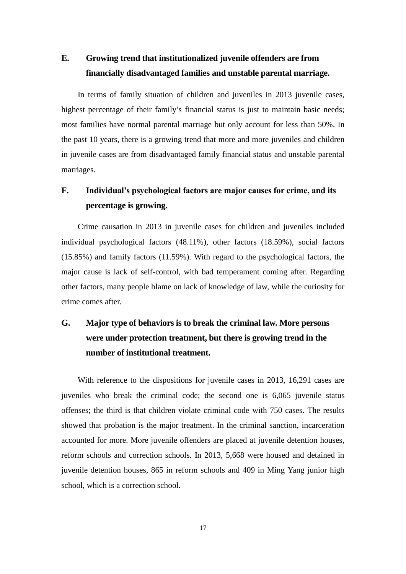# **E. Growing trend that institutionalized juvenile offenders are from financially disadvantaged families and unstable parental marriage.**

In terms of family situation of children and juveniles in 2013 juvenile cases, highest percentage of their family's financial status is just to maintain basic needs; most families have normal parental marriage but only account for less than 50%. In the past 10 years, there is a growing trend that more and more juveniles and children in juvenile cases are from disadvantaged family financial status and unstable parental marriages.

# **F. Individual's psychological factors are major causes for crime, and its percentage is growing.**

Crime causation in 2013 in juvenile cases for children and juveniles included individual psychological factors (48.11%), other factors (18.59%), social factors (15.85%) and family factors (11.59%). With regard to the psychological factors, the major cause is lack of self-control, with bad temperament coming after. Regarding other factors, many people blame on lack of knowledge of law, while the curiosity for crime comes after.

# **G. Major type of behaviors is to break the criminal law. More persons were under protection treatment, but there is growing trend in the number of institutional treatment.**

With reference to the dispositions for juvenile cases in 2013, 16,291 cases are juveniles who break the criminal code; the second one is 6,065 juvenile status offenses; the third is that children violate criminal code with 750 cases. The results showed that probation is the major treatment. In the criminal sanction, incarceration accounted for more. More juvenile offenders are placed at juvenile detention houses, reform schools and correction schools. In 2013, 5,668 were housed and detained in juvenile detention houses, 865 in reform schools and 409 in Ming Yang junior high school, which is a correction school.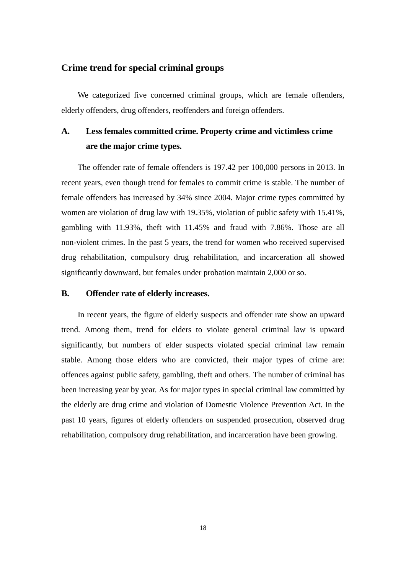### **Crime trend for special criminal groups**

We categorized five concerned criminal groups, which are female offenders, elderly offenders, drug offenders, reoffenders and foreign offenders.

# **A. Less females committed crime. Property crime and victimless crime are the major crime types.**

The offender rate of female offenders is 197.42 per 100,000 persons in 2013. In recent years, even though trend for females to commit crime is stable. The number of female offenders has increased by 34% since 2004. Major crime types committed by women are violation of drug law with 19.35%, violation of public safety with 15.41%, gambling with 11.93%, theft with 11.45% and fraud with 7.86%. Those are all non-violent crimes. In the past 5 years, the trend for women who received supervised drug rehabilitation, compulsory drug rehabilitation, and incarceration all showed significantly downward, but females under probation maintain 2,000 or so.

#### **B. Offender rate of elderly increases.**

In recent years, the figure of elderly suspects and offender rate show an upward trend. Among them, trend for elders to violate general criminal law is upward significantly, but numbers of elder suspects violated special criminal law remain stable. Among those elders who are convicted, their major types of crime are: offences against public safety, gambling, theft and others. The number of criminal has been increasing year by year. As for major types in special criminal law committed by the elderly are drug crime and violation of Domestic Violence Prevention Act. In the past 10 years, figures of elderly offenders on suspended prosecution, observed drug rehabilitation, compulsory drug rehabilitation, and incarceration have been growing.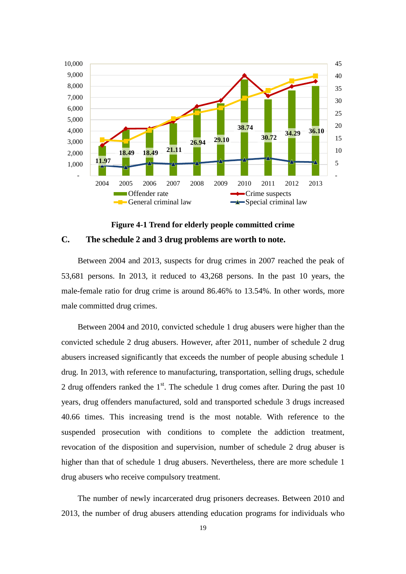

**Figure 4-1 Trend for elderly people committed crime C. The schedule 2 and 3 drug problems are worth to note.** 

Between 2004 and 2013, suspects for drug crimes in 2007 reached the peak of 53,681 persons. In 2013, it reduced to 43,268 persons. In the past 10 years, the male-female ratio for drug crime is around 86.46% to 13.54%. In other words, more male committed drug crimes.

Between 2004 and 2010, convicted schedule 1 drug abusers were higher than the convicted schedule 2 drug abusers. However, after 2011, number of schedule 2 drug abusers increased significantly that exceeds the number of people abusing schedule 1 drug. In 2013, with reference to manufacturing, transportation, selling drugs, schedule 2 drug offenders ranked the  $1<sup>st</sup>$ . The schedule 1 drug comes after. During the past 10 years, drug offenders manufactured, sold and transported schedule 3 drugs increased 40.66 times. This increasing trend is the most notable. With reference to the suspended prosecution with conditions to complete the addiction treatment, revocation of the disposition and supervision, number of schedule 2 drug abuser is higher than that of schedule 1 drug abusers. Nevertheless, there are more schedule 1 drug abusers who receive compulsory treatment.

The number of newly incarcerated drug prisoners decreases. Between 2010 and 2013, the number of drug abusers attending education programs for individuals who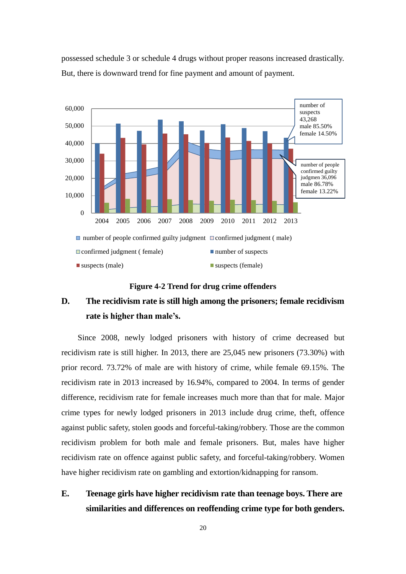

possessed schedule 3 or schedule 4 drugs without proper reasons increased drastically. But, there is downward trend for fine payment and amount of payment.

**Figure 4-2 Trend for drug crime offenders**

# **D. The recidivism rate is still high among the prisoners; female recidivism rate is higher than male's.**

Since 2008, newly lodged prisoners with history of crime decreased but recidivism rate is still higher. In 2013, there are 25,045 new prisoners (73.30%) with prior record. 73.72% of male are with history of crime, while female 69.15%. The recidivism rate in 2013 increased by 16.94%, compared to 2004. In terms of gender difference, recidivism rate for female increases much more than that for male. Major crime types for newly lodged prisoners in 2013 include drug crime, theft, offence against public safety, stolen goods and forceful-taking/robbery. Those are the common recidivism problem for both male and female prisoners. But, males have higher recidivism rate on offence against public safety, and forceful-taking/robbery. Women have higher recidivism rate on gambling and extortion/kidnapping for ransom.

# **E. Teenage girls have higher recidivism rate than teenage boys. There are similarities and differences on reoffending crime type for both genders.**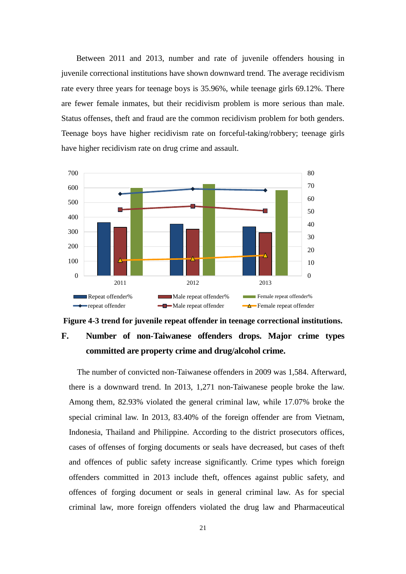Between 2011 and 2013, number and rate of juvenile offenders housing in juvenile correctional institutions have shown downward trend. The average recidivism rate every three years for teenage boys is 35.96%, while teenage girls 69.12%. There are fewer female inmates, but their recidivism problem is more serious than male. Status offenses, theft and fraud are the common recidivism problem for both genders. Teenage boys have higher recidivism rate on forceful-taking/robbery; teenage girls have higher recidivism rate on drug crime and assault.





The number of convicted non-Taiwanese offenders in 2009 was 1,584. Afterward, there is a downward trend. In 2013, 1,271 non-Taiwanese people broke the law. Among them, 82.93% violated the general criminal law, while 17.07% broke the special criminal law. In 2013, 83.40% of the foreign offender are from Vietnam, Indonesia, Thailand and Philippine. According to the district prosecutors offices, cases of offenses of forging documents or seals have decreased, but cases of theft and offences of public safety increase significantly. Crime types which foreign offenders committed in 2013 include theft, offences against public safety, and offences of forging document or seals in general criminal law. As for special criminal law, more foreign offenders violated the drug law and Pharmaceutical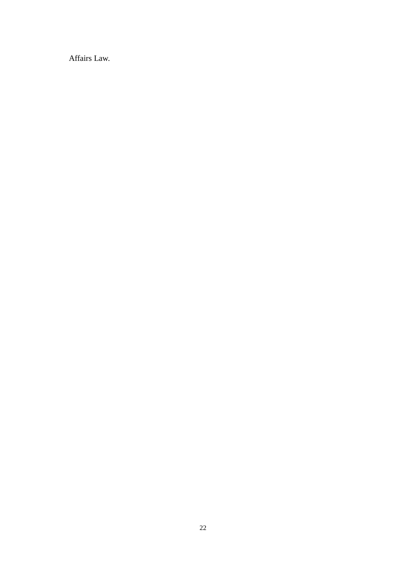Affairs Law.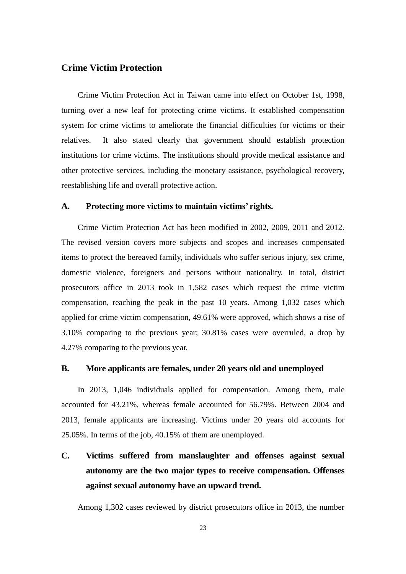### **Crime Victim Protection**

Crime Victim Protection Act in Taiwan came into effect on October 1st, 1998, turning over a new leaf for protecting crime victims. It established compensation system for crime victims to ameliorate the financial difficulties for victims or their relatives. It also stated clearly that government should establish protection institutions for crime victims. The institutions should provide medical assistance and other protective services, including the monetary assistance, psychological recovery, reestablishing life and overall protective action.

#### **A. Protecting more victims to maintain victims' rights.**

Crime Victim Protection Act has been modified in 2002, 2009, 2011 and 2012. The revised version covers more subjects and scopes and increases compensated items to protect the bereaved family, individuals who suffer serious injury, sex crime, domestic violence, foreigners and persons without nationality. In total, district prosecutors office in 2013 took in 1,582 cases which request the crime victim compensation, reaching the peak in the past 10 years. Among 1,032 cases which applied for crime victim compensation, 49.61% were approved, which shows a rise of 3.10% comparing to the previous year; 30.81% cases were overruled, a drop by 4.27% comparing to the previous year.

#### **B. More applicants are females, under 20 years old and unemployed**

In 2013, 1,046 individuals applied for compensation. Among them, male accounted for 43.21%, whereas female accounted for 56.79%. Between 2004 and 2013, female applicants are increasing. Victims under 20 years old accounts for 25.05%. In terms of the job, 40.15% of them are unemployed.

# **C. Victims suffered from manslaughter and offenses against sexual autonomy are the two major types to receive compensation. Offenses against sexual autonomy have an upward trend.**

Among 1,302 cases reviewed by district prosecutors office in 2013, the number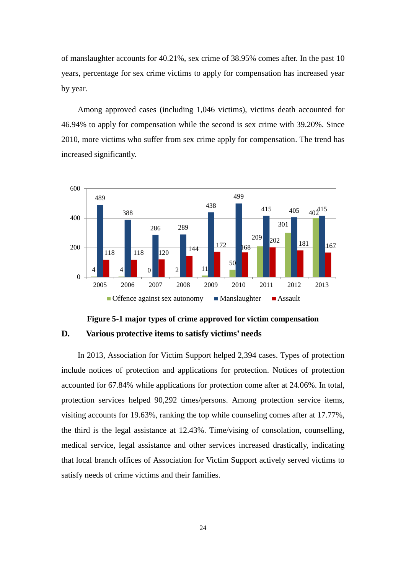of manslaughter accounts for 40.21%, sex crime of 38.95% comes after. In the past 10 years, percentage for sex crime victims to apply for compensation has increased year by year.

Among approved cases (including 1,046 victims), victims death accounted for 46.94% to apply for compensation while the second is sex crime with 39.20%. Since 2010, more victims who suffer from sex crime apply for compensation. The trend has increased significantly.





In 2013, Association for Victim Support helped 2,394 cases. Types of protection include notices of protection and applications for protection. Notices of protection accounted for 67.84% while applications for protection come after at 24.06%. In total, protection services helped 90,292 times/persons. Among protection service items, visiting accounts for 19.63%, ranking the top while counseling comes after at 17.77%, the third is the legal assistance at 12.43%. Time/vising of consolation, counselling, medical service, legal assistance and other services increased drastically, indicating that local branch offices of Association for Victim Support actively served victims to satisfy needs of crime victims and their families.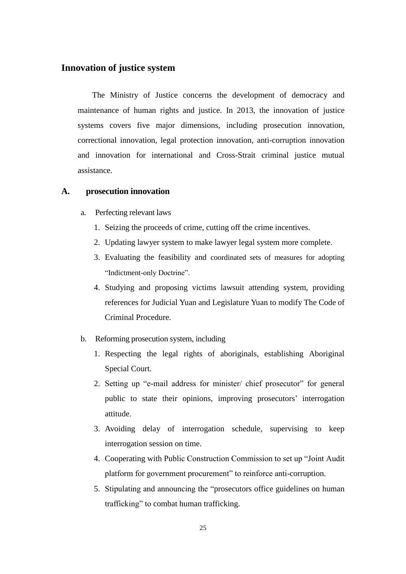### **Innovation of justice system**

The Ministry of Justice concerns the development of democracy and maintenance of human rights and justice. In 2013, the innovation of justice systems covers five major dimensions, including prosecution innovation, correctional innovation, legal protection innovation, anti-corruption innovation and innovation for international and Cross-Strait criminal justice mutual assistance.

#### **A. prosecution innovation**

- a. Perfecting relevant laws
	- 1. Seizing the proceeds of crime, cutting off the crime incentives.
	- 2. Updating lawyer system to make lawyer legal system more complete.
	- 3. Evaluating the feasibility and coordinated sets of measures for adopting "Indictment-only Doctrine".
	- 4. Studying and proposing victims lawsuit attending system, providing references for Judicial Yuan and Legislature Yuan to modify The Code of Criminal Procedure.
- b. Reforming prosecution system, including
	- 1. Respecting the legal rights of aboriginals, establishing Aboriginal Special Court.
	- 2. Setting up "e-mail address for minister/ chief prosecutor" for general public to state their opinions, improving prosecutors' interrogation attitude.
	- 3. Avoiding delay of interrogation schedule, supervising to keep interrogation session on time.
	- 4. Cooperating with Public Construction Commission to set up "Joint Audit platform for government procurement" to reinforce anti-corruption.
	- 5. Stipulating and announcing the "prosecutors office guidelines on human trafficking" to combat human trafficking.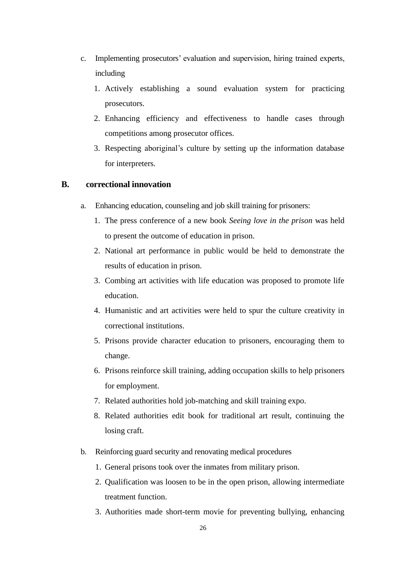- c. Implementing prosecutors' evaluation and supervision, hiring trained experts, including
	- 1. Actively establishing a sound evaluation system for practicing prosecutors.
	- 2. Enhancing efficiency and effectiveness to handle cases through competitions among prosecutor offices.
	- 3. Respecting aboriginal's culture by setting up the information database for interpreters.

#### **B. correctional innovation**

- a. Enhancing education, counseling and job skill training for prisoners:
	- 1. The press conference of a new book *Seeing love in the prison* was held to present the outcome of education in prison.
	- 2. National art performance in public would be held to demonstrate the results of education in prison.
	- 3. Combing art activities with life education was proposed to promote life education.
	- 4. Humanistic and art activities were held to spur the culture creativity in correctional institutions.
	- 5. Prisons provide character education to prisoners, encouraging them to change.
	- 6. Prisons reinforce skill training, adding occupation skills to help prisoners for employment.
	- 7. Related authorities hold job-matching and skill training expo.
	- 8. Related authorities edit book for traditional art result, continuing the losing craft.
- b. Reinforcing guard security and renovating medical procedures
	- 1. General prisons took over the inmates from military prison.
	- 2. Qualification was loosen to be in the open prison, allowing intermediate treatment function.
	- 3. Authorities made short-term movie for preventing bullying, enhancing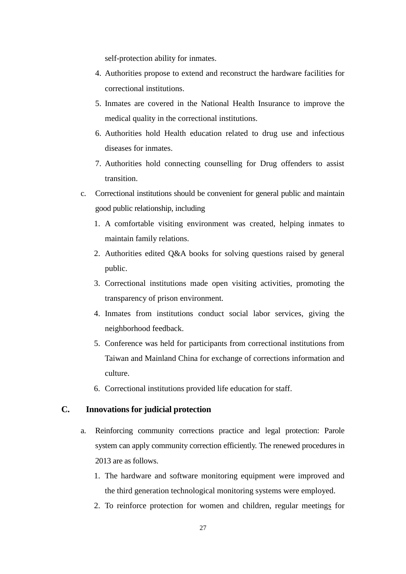self-protection ability for inmates.

- 4. Authorities propose to extend and reconstruct the hardware facilities for correctional institutions.
- 5. Inmates are covered in the National Health Insurance to improve the medical quality in the correctional institutions.
- 6. Authorities hold Health education related to drug use and infectious diseases for inmates.
- 7. Authorities hold connecting counselling for Drug offenders to assist transition.
- c. Correctional institutions should be convenient for general public and maintain good public relationship, including
	- 1. A comfortable visiting environment was created, helping inmates to maintain family relations.
	- 2. Authorities edited Q&A books for solving questions raised by general public.
	- 3. Correctional institutions made open visiting activities, promoting the transparency of prison environment.
	- 4. Inmates from institutions conduct social labor services, giving the neighborhood feedback.
	- 5. Conference was held for participants from correctional institutions from Taiwan and Mainland China for exchange of corrections information and culture.
	- 6. Correctional institutions provided life education for staff.

### **C. Innovations for judicial protection**

- a. Reinforcing community corrections practice and legal protection: Parole system can apply community correction efficiently. The renewed procedures in 2013 are as follows.
	- 1. The hardware and software monitoring equipment were improved and the third generation technological monitoring systems were employed.
	- 2. To reinforce protection for women and children, regular meetings for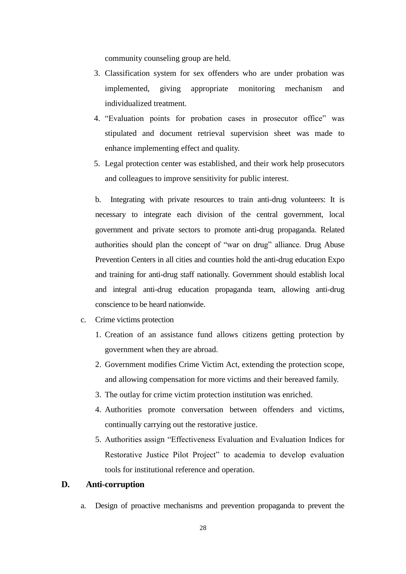community counseling group are held.

- 3. Classification system for sex offenders who are under probation was implemented, giving appropriate monitoring mechanism and individualized treatment.
- 4. "Evaluation points for probation cases in prosecutor office" was stipulated and document retrieval supervision sheet was made to enhance implementing effect and quality.
- 5. Legal protection center was established, and their work help prosecutors and colleagues to improve sensitivity for public interest.

b. Integrating with private resources to train anti-drug volunteers: It is necessary to integrate each division of the central government, local government and private sectors to promote anti-drug propaganda. Related authorities should plan the concept of "war on drug" alliance. Drug Abuse Prevention Centers in all cities and counties hold the anti-drug education Expo and training for anti-drug staff nationally. Government should establish local and integral anti-drug education propaganda team, allowing anti-drug conscience to be heard nationwide.

- c. Crime victims protection
	- 1. Creation of an assistance fund allows citizens getting protection by government when they are abroad.
	- 2. Government modifies Crime Victim Act, extending the protection scope, and allowing compensation for more victims and their bereaved family.
	- 3. The outlay for crime victim protection institution was enriched.
	- 4. Authorities promote conversation between offenders and victims, continually carrying out the restorative justice.
	- 5. Authorities assign "Effectiveness Evaluation and Evaluation Indices for Restorative Justice Pilot Project" to academia to develop evaluation tools for institutional reference and operation.

#### **D. Anti-corruption**

a. Design of proactive mechanisms and prevention propaganda to prevent the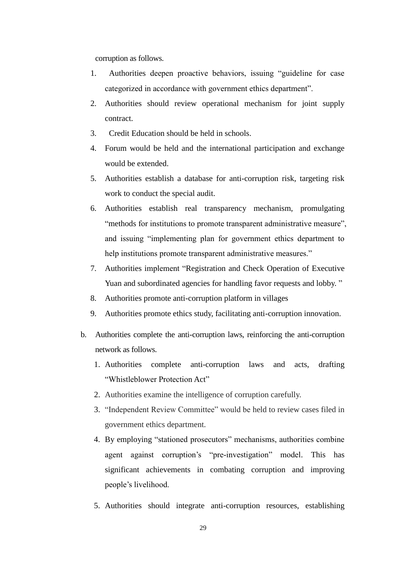corruption as follows.

- 1. Authorities deepen proactive behaviors, issuing "guideline for case categorized in accordance with government ethics department".
- 2. Authorities should review operational mechanism for joint supply contract.
- 3. Credit Education should be held in schools.
- 4. Forum would be held and the international participation and exchange would be extended.
- 5. Authorities establish a database for anti-corruption risk, targeting risk work to conduct the special audit.
- 6. Authorities establish real transparency mechanism, promulgating "methods for institutions to promote transparent administrative measure", and issuing "implementing plan for government ethics department to help institutions promote transparent administrative measures."
- 7. Authorities implement "Registration and Check Operation of Executive Yuan and subordinated agencies for handling favor requests and lobby."
- 8. Authorities promote anti-corruption platform in villages
- 9. Authorities promote ethics study, facilitating anti-corruption innovation.
- b. Authorities complete the anti-corruption laws, reinforcing the anti-corruption network as follows.
	- 1. Authorities complete anti-corruption laws and acts, drafting "Whistleblower Protection Act"
	- 2. Authorities examine the intelligence of corruption carefully.
	- 3. "Independent Review Committee" would be held to review cases filed in government ethics department.
	- 4. By employing "stationed prosecutors" mechanisms, authorities combine agent against corruption's "pre-investigation" model. This has significant achievements in combating corruption and improving people's livelihood.
	- 5. Authorities should integrate anti-corruption resources, establishing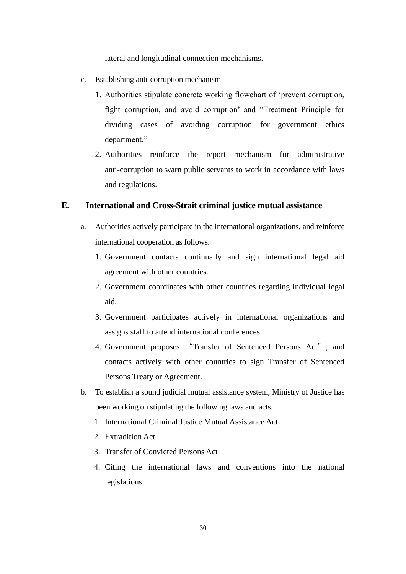lateral and longitudinal connection mechanisms.

- c. Establishing anti-corruption mechanism
	- 1. Authorities stipulate concrete working flowchart of 'prevent corruption, fight corruption, and avoid corruption' and "Treatment Principle for dividing cases of avoiding corruption for government ethics department."
	- 2. Authorities reinforce the report mechanism for administrative anti-corruption to warn public servants to work in accordance with laws and regulations.

### **E. International and Cross-Strait criminal justice mutual assistance**

- a. Authorities actively participate in the international organizations, and reinforce international cooperation as follows.
	- 1. Government contacts continually and sign international legal aid agreement with other countries.
	- 2. Government coordinates with other countries regarding individual legal aid.
	- 3. Government participates actively in international organizations and assigns staff to attend international conferences.
	- 4. Government proposes "Transfer of Sentenced Persons Act", and contacts actively with other countries to sign Transfer of Sentenced Persons Treaty or Agreement.
- b. To establish a sound judicial mutual assistance system, Ministry of Justice has been working on stipulating the following laws and acts.
	- 1. International Criminal Justice Mutual Assistance Act
	- 2. Extradition Act
	- 3. Transfer of Convicted Persons Act
	- 4. Citing the international laws and conventions into the national legislations.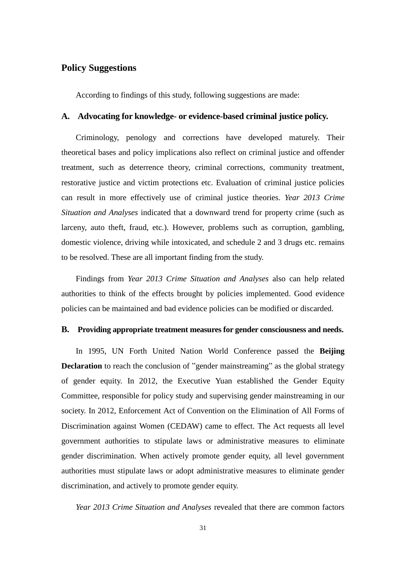### **Policy Suggestions**

According to findings of this study, following suggestions are made:

#### **A. Advocating for knowledge- or evidence-based criminal justice policy.**

Criminology, penology and corrections have developed maturely. Their theoretical bases and policy implications also reflect on criminal justice and offender treatment, such as deterrence theory, criminal corrections, community treatment, restorative justice and victim protections etc. Evaluation of criminal justice policies can result in more effectively use of criminal justice theories. *Year 2013 Crime Situation and Analyses* indicated that a downward trend for property crime (such as larceny, auto theft, fraud, etc.). However, problems such as corruption, gambling, domestic violence, driving while intoxicated, and schedule 2 and 3 drugs etc. remains to be resolved. These are all important finding from the study.

Findings from *Year 2013 Crime Situation and Analyses* also can help related authorities to think of the effects brought by policies implemented. Good evidence policies can be maintained and bad evidence policies can be modified or discarded.

#### **B. Providing appropriate treatment measures for gender consciousness and needs.**

In 1995, UN Forth United Nation World Conference passed the **Beijing Declaration** to reach the conclusion of "gender mainstreaming" as the global strategy of gender equity. In 2012, the Executive Yuan established the Gender Equity Committee, responsible for policy study and supervising gender mainstreaming in our society. In 2012, Enforcement Act of Convention on the Elimination of All Forms of Discrimination against Women (CEDAW) came to effect. The Act requests all level government authorities to stipulate laws or administrative measures to eliminate gender discrimination. When actively promote gender equity, all level government authorities must stipulate laws or adopt administrative measures to eliminate gender discrimination, and actively to promote gender equity.

*Year 2013 Crime Situation and Analyses* revealed that there are common factors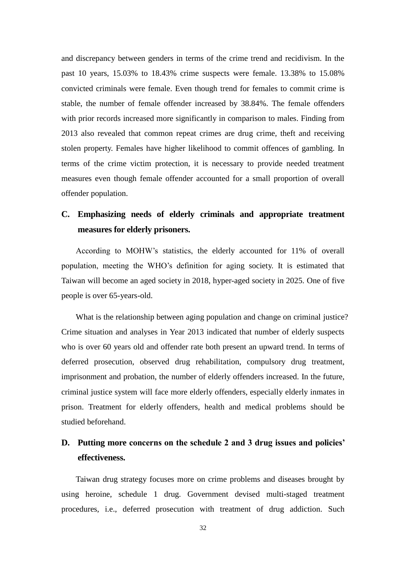and discrepancy between genders in terms of the crime trend and recidivism. In the past 10 years, 15.03% to 18.43% crime suspects were female. 13.38% to 15.08% convicted criminals were female. Even though trend for females to commit crime is stable, the number of female offender increased by 38.84%. The female offenders with prior records increased more significantly in comparison to males. Finding from 2013 also revealed that common repeat crimes are drug crime, theft and receiving stolen property. Females have higher likelihood to commit offences of gambling. In terms of the crime victim protection, it is necessary to provide needed treatment measures even though female offender accounted for a small proportion of overall offender population.

### **C. Emphasizing needs of elderly criminals and appropriate treatment measures for elderly prisoners.**

According to MOHW's statistics, the elderly accounted for 11% of overall population, meeting the WHO's definition for aging society. It is estimated that Taiwan will become an aged society in 2018, hyper-aged society in 2025. One of five people is over 65-years-old.

What is the relationship between aging population and change on criminal justice? Crime situation and analyses in Year 2013 indicated that number of elderly suspects who is over 60 years old and offender rate both present an upward trend. In terms of deferred prosecution, observed drug rehabilitation, compulsory drug treatment, imprisonment and probation, the number of elderly offenders increased. In the future, criminal justice system will face more elderly offenders, especially elderly inmates in prison. Treatment for elderly offenders, health and medical problems should be studied beforehand.

### **D. Putting more concerns on the schedule 2 and 3 drug issues and policies' effectiveness.**

Taiwan drug strategy focuses more on crime problems and diseases brought by using heroine, schedule 1 drug. Government devised multi-staged treatment procedures, i.e., deferred prosecution with treatment of drug addiction. Such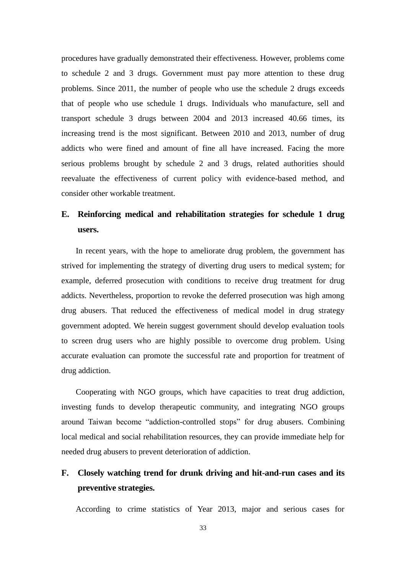procedures have gradually demonstrated their effectiveness. However, problems come to schedule 2 and 3 drugs. Government must pay more attention to these drug problems. Since 2011, the number of people who use the schedule 2 drugs exceeds that of people who use schedule 1 drugs. Individuals who manufacture, sell and transport schedule 3 drugs between 2004 and 2013 increased 40.66 times, its increasing trend is the most significant. Between 2010 and 2013, number of drug addicts who were fined and amount of fine all have increased. Facing the more serious problems brought by schedule 2 and 3 drugs, related authorities should reevaluate the effectiveness of current policy with evidence-based method, and consider other workable treatment.

# **E. Reinforcing medical and rehabilitation strategies for schedule 1 drug users.**

In recent years, with the hope to ameliorate drug problem, the government has strived for implementing the strategy of diverting drug users to medical system; for example, deferred prosecution with conditions to receive drug treatment for drug addicts. Nevertheless, proportion to revoke the deferred prosecution was high among drug abusers. That reduced the effectiveness of medical model in drug strategy government adopted. We herein suggest government should develop evaluation tools to screen drug users who are highly possible to overcome drug problem. Using accurate evaluation can promote the successful rate and proportion for treatment of drug addiction.

Cooperating with NGO groups, which have capacities to treat drug addiction, investing funds to develop therapeutic community, and integrating NGO groups around Taiwan become "addiction-controlled stops" for drug abusers. Combining local medical and social rehabilitation resources, they can provide immediate help for needed drug abusers to prevent deterioration of addiction.

## **F. Closely watching trend for drunk driving and hit-and-run cases and its preventive strategies.**

According to crime statistics of Year 2013, major and serious cases for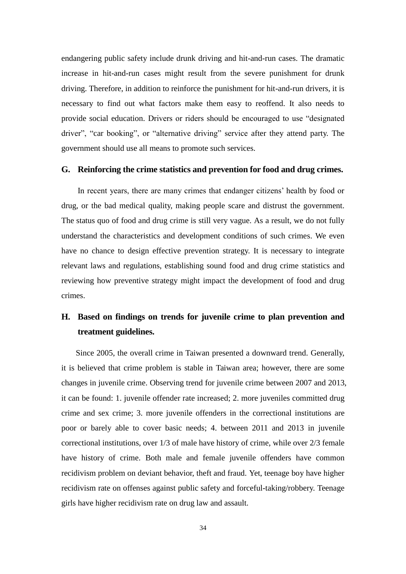endangering public safety include drunk driving and hit-and-run cases. The dramatic increase in hit-and-run cases might result from the severe punishment for drunk driving. Therefore, in addition to reinforce the punishment for hit-and-run drivers, it is necessary to find out what factors make them easy to reoffend. It also needs to provide social education. Drivers or riders should be encouraged to use "designated driver", "car booking", or "alternative driving" service after they attend party. The government should use all means to promote such services.

#### **G. Reinforcing the crime statistics and prevention for food and drug crimes.**

In recent years, there are many crimes that endanger citizens' health by food or drug, or the bad medical quality, making people scare and distrust the government. The status quo of food and drug crime is still very vague. As a result, we do not fully understand the characteristics and development conditions of such crimes. We even have no chance to design effective prevention strategy. It is necessary to integrate relevant laws and regulations, establishing sound food and drug crime statistics and reviewing how preventive strategy might impact the development of food and drug crimes.

# **H. Based on findings on trends for juvenile crime to plan prevention and treatment guidelines.**

Since 2005, the overall crime in Taiwan presented a downward trend. Generally, it is believed that crime problem is stable in Taiwan area; however, there are some changes in juvenile crime. Observing trend for juvenile crime between 2007 and 2013, it can be found: 1. juvenile offender rate increased; 2. more juveniles committed drug crime and sex crime; 3. more juvenile offenders in the correctional institutions are poor or barely able to cover basic needs; 4. between 2011 and 2013 in juvenile correctional institutions, over 1/3 of male have history of crime, while over 2/3 female have history of crime. Both male and female juvenile offenders have common recidivism problem on deviant behavior, theft and fraud. Yet, teenage boy have higher recidivism rate on offenses against public safety and forceful-taking/robbery. Teenage girls have higher recidivism rate on drug law and assault.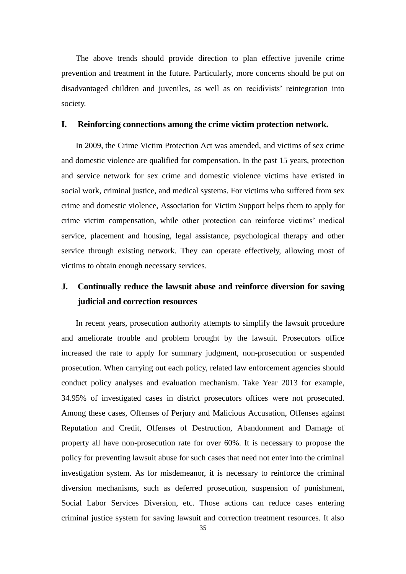The above trends should provide direction to plan effective juvenile crime prevention and treatment in the future. Particularly, more concerns should be put on disadvantaged children and juveniles, as well as on recidivists' reintegration into society.

#### **I. Reinforcing connections among the crime victim protection network.**

In 2009, the Crime Victim Protection Act was amended, and victims of sex crime and domestic violence are qualified for compensation. In the past 15 years, protection and service network for sex crime and domestic violence victims have existed in social work, criminal justice, and medical systems. For victims who suffered from sex crime and domestic violence, Association for Victim Support helps them to apply for crime victim compensation, while other protection can reinforce victims' medical service, placement and housing, legal assistance, psychological therapy and other service through existing network. They can operate effectively, allowing most of victims to obtain enough necessary services.

# **J. Continually reduce the lawsuit abuse and reinforce diversion for saving judicial and correction resources**

In recent years, prosecution authority attempts to simplify the lawsuit procedure and ameliorate trouble and problem brought by the lawsuit. Prosecutors office increased the rate to apply for summary judgment, non-prosecution or suspended prosecution. When carrying out each policy, related law enforcement agencies should conduct policy analyses and evaluation mechanism. Take Year 2013 for example, 34.95% of investigated cases in district prosecutors offices were not prosecuted. Among these cases, Offenses of Perjury and Malicious Accusation, Offenses against Reputation and Credit, Offenses of Destruction, Abandonment and Damage of property all have non-prosecution rate for over 60%. It is necessary to propose the policy for preventing lawsuit abuse for such cases that need not enter into the criminal investigation system. As for misdemeanor, it is necessary to reinforce the criminal diversion mechanisms, such as deferred prosecution, suspension of punishment, Social Labor Services Diversion, etc. Those actions can reduce cases entering criminal justice system for saving lawsuit and correction treatment resources. It also